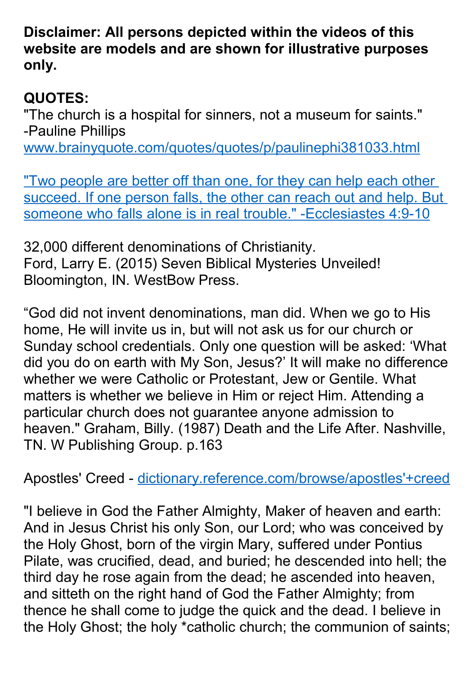**Disclaimer: All persons depicted within the videos of this website are models and are shown for illustrative purposes only.**

## **QUOTES:**

"The church is a hospital for sinners, not a museum for saints." -Pauline Phillips [www.brainyquote.com/quotes/quotes/p/paulinephi381033.html](http://www.brainyquote.com/quotes/quotes/p/paulinephi381033.html)

"Two people are better off than one, for they can help each other [succeed. If one person falls, the other can reach out and help. But](https://www.biblegateway.com/passage/?search=Ecclesiastes+4%3A9-10&version=NLT)  [someone who falls alone is in real trouble." -Ecclesiastes 4:9-10](https://www.biblegateway.com/passage/?search=Ecclesiastes+4%3A9-10&version=NLT)

32,000 different denominations of Christianity. Ford, Larry E. (2015) Seven Biblical Mysteries Unveiled! Bloomington, IN. WestBow Press.

"God did not invent denominations, man did. When we go to His home, He will invite us in, but will not ask us for our church or Sunday school credentials. Only one question will be asked: 'What did you do on earth with My Son, Jesus?' It will make no difference whether we were Catholic or Protestant, Jew or Gentile. What matters is whether we believe in Him or reject Him. Attending a particular church does not guarantee anyone admission to heaven." Graham, Billy. (1987) Death and the Life After. Nashville, TN. W Publishing Group. p.163

Apostles' Creed - [dictionary.reference.com/browse/apostles'+creed](http://dictionary.reference.com/browse/apostles)

"I believe in God the Father Almighty, Maker of heaven and earth: And in Jesus Christ his only Son, our Lord; who was conceived by the Holy Ghost, born of the virgin Mary, suffered under Pontius Pilate, was crucified, dead, and buried; he descended into hell; the third day he rose again from the dead; he ascended into heaven, and sitteth on the right hand of God the Father Almighty; from thence he shall come to judge the quick and the dead. I believe in the Holy Ghost; the holy \*catholic church; the communion of saints;